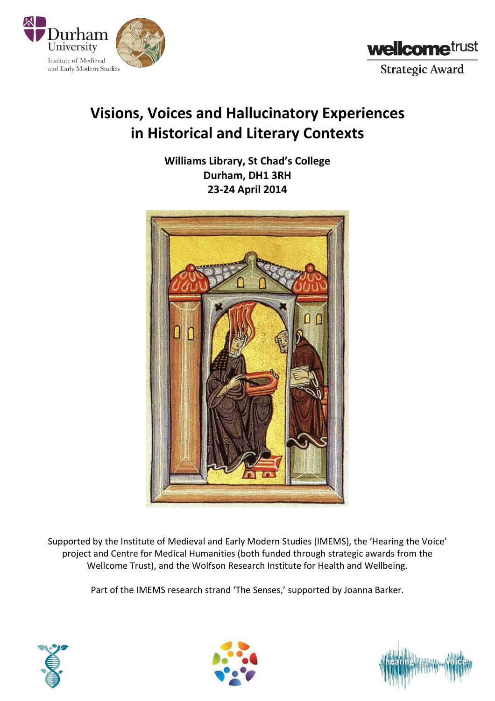



## **Visions, Voices and Hallucinatory Experiences in Historical and Literary Contexts**

**Williams Library, St Chad's College Durham, DH1 3RH 23-24 April 2014**



Supported by the Institute of Medieval and Early Modern Studies (IMEMS), the 'Hearing the Voice' project and Centre for Medical Humanities (both funded through strategic awards from the Wellcome Trust), and the Wolfson Research Institute for Health and Wellbeing.

Part of the IMEMS research strand 'The Senses,' supported by Joanna Barker.





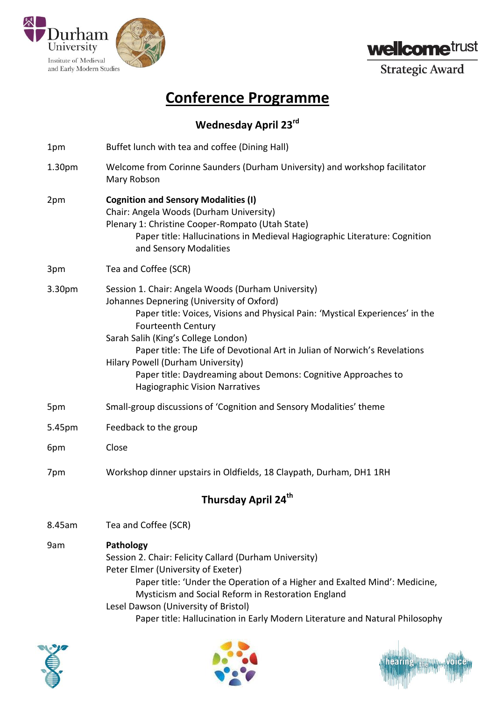



**Strategic Award** 

## **Conference Programme**

## **Wednesday April 23rd**

- 1pm Buffet lunch with tea and coffee (Dining Hall)
- 1.30pm Welcome from Corinne Saunders (Durham University) and workshop facilitator Mary Robson
- 2pm **Cognition and Sensory Modalities (I)** Chair: Angela Woods (Durham University) Plenary 1: Christine Cooper-Rompato (Utah State) Paper title: Hallucinations in Medieval Hagiographic Literature: Cognition and Sensory Modalities
- 3pm Tea and Coffee (SCR)
- 3.30pm Session 1. Chair: Angela Woods (Durham University) Johannes Depnering (University of Oxford) Paper title: Voices, Visions and Physical Pain: 'Mystical Experiences' in the Fourteenth Century Sarah Salih (King's College London) Paper title: The Life of Devotional Art in Julian of Norwich's Revelations Hilary Powell (Durham University) Paper title: Daydreaming about Demons: Cognitive Approaches to Hagiographic Vision Narratives
- 5pm Small-group discussions of 'Cognition and Sensory Modalities' theme
- 5.45pm Feedback to the group
- 6pm Close
- 7pm Workshop dinner upstairs in Oldfields, 18 Claypath, Durham, DH1 1RH

## **Thursday April 24th**

- 8.45am Tea and Coffee (SCR)
- 9am **Pathology** Session 2. Chair: Felicity Callard (Durham University) Peter Elmer (University of Exeter) Paper title: 'Under the Operation of a Higher and Exalted Mind': Medicine, Mysticism and Social Reform in Restoration England Lesel Dawson (University of Bristol) Paper title: Hallucination in Early Modern Literature and Natural Philosophy